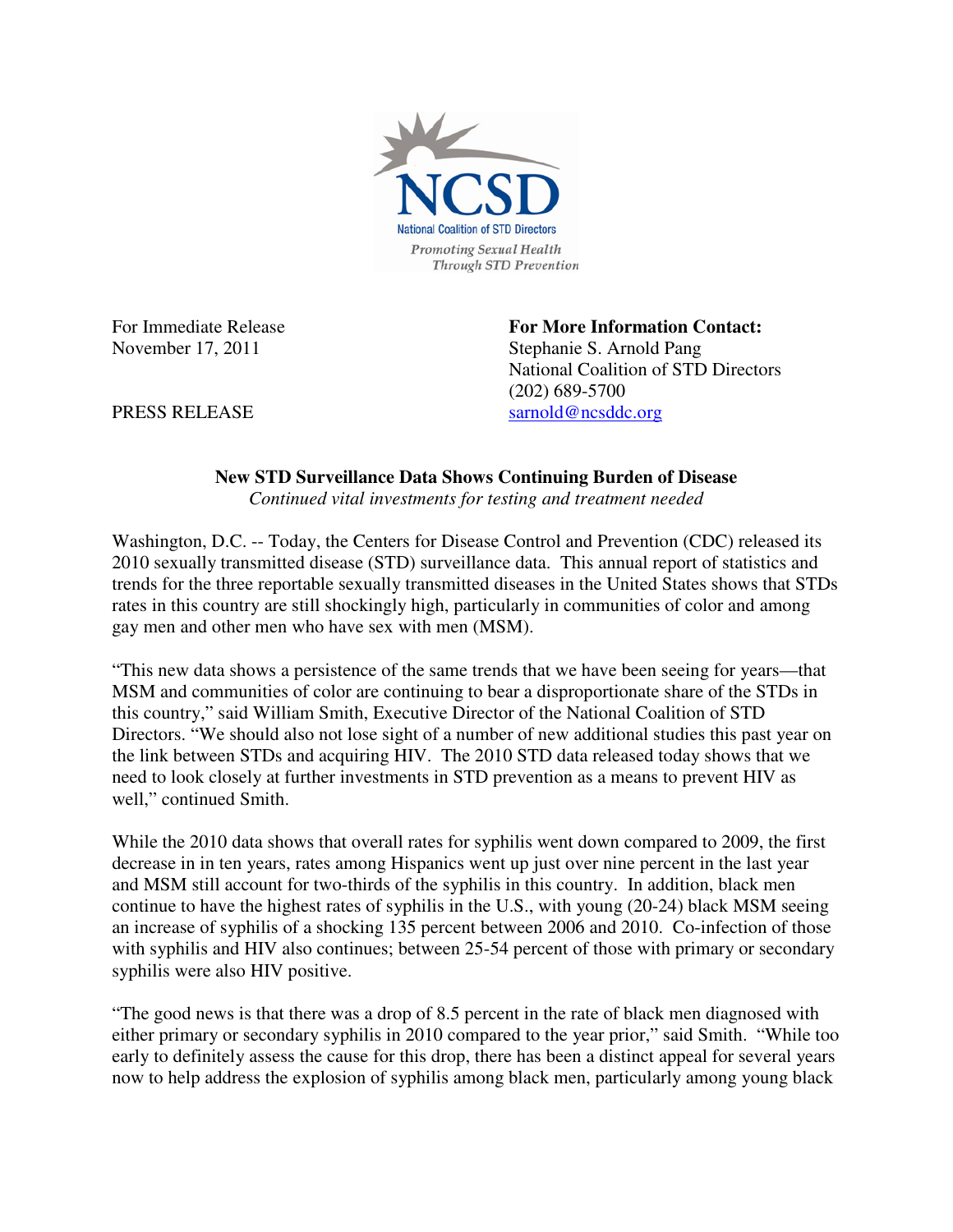

For Immediate Release **For More Information Contact:**  November 17, 2011 Stephanie S. Arnold Pang National Coalition of STD Directors (202) 689-5700 PRESS RELEASE sarnold@ncsddc.org

## **New STD Surveillance Data Shows Continuing Burden of Disease**

*Continued vital investments for testing and treatment needed* 

Washington, D.C. -- Today, the Centers for Disease Control and Prevention (CDC) released its 2010 sexually transmitted disease (STD) surveillance data. This annual report of statistics and trends for the three reportable sexually transmitted diseases in the United States shows that STDs rates in this country are still shockingly high, particularly in communities of color and among gay men and other men who have sex with men (MSM).

"This new data shows a persistence of the same trends that we have been seeing for years—that MSM and communities of color are continuing to bear a disproportionate share of the STDs in this country," said William Smith, Executive Director of the National Coalition of STD Directors. "We should also not lose sight of a number of new additional studies this past year on the link between STDs and acquiring HIV. The 2010 STD data released today shows that we need to look closely at further investments in STD prevention as a means to prevent HIV as well," continued Smith.

While the 2010 data shows that overall rates for syphilis went down compared to 2009, the first decrease in in ten years, rates among Hispanics went up just over nine percent in the last year and MSM still account for two-thirds of the syphilis in this country. In addition, black men continue to have the highest rates of syphilis in the U.S., with young (20-24) black MSM seeing an increase of syphilis of a shocking 135 percent between 2006 and 2010. Co-infection of those with syphilis and HIV also continues; between 25-54 percent of those with primary or secondary syphilis were also HIV positive.

"The good news is that there was a drop of 8.5 percent in the rate of black men diagnosed with either primary or secondary syphilis in 2010 compared to the year prior," said Smith. "While too early to definitely assess the cause for this drop, there has been a distinct appeal for several years now to help address the explosion of syphilis among black men, particularly among young black